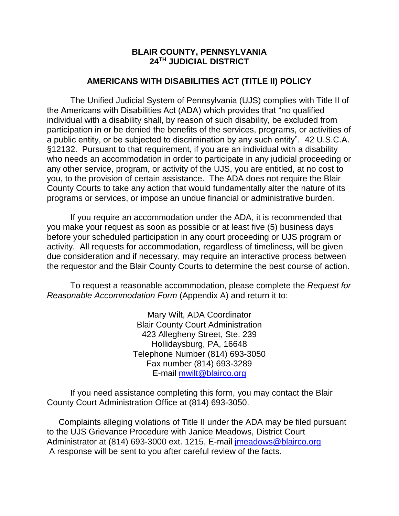### **BLAIR COUNTY, PENNSYLVANIA 24TH JUDICIAL DISTRICT**

### **AMERICANS WITH DISABILITIES ACT (TITLE II) POLICY**

The Unified Judicial System of Pennsylvania (UJS) complies with Title II of the Americans with Disabilities Act (ADA) which provides that "no qualified individual with a disability shall, by reason of such disability, be excluded from participation in or be denied the benefits of the services, programs, or activities of a public entity, or be subjected to discrimination by any such entity". 42 U.S.C.A. §12132. Pursuant to that requirement, if you are an individual with a disability who needs an accommodation in order to participate in any judicial proceeding or any other service, program, or activity of the UJS, you are entitled, at no cost to you, to the provision of certain assistance. The ADA does not require the Blair County Courts to take any action that would fundamentally alter the nature of its programs or services, or impose an undue financial or administrative burden.

If you require an accommodation under the ADA, it is recommended that you make your request as soon as possible or at least five (5) business days before your scheduled participation in any court proceeding or UJS program or activity. All requests for accommodation, regardless of timeliness, will be given due consideration and if necessary, may require an interactive process between the requestor and the Blair County Courts to determine the best course of action.

To request a reasonable accommodation, please complete the *Request for Reasonable Accommodation Form* (Appendix A) and return it to:

> Mary Wilt, ADA Coordinator Blair County Court Administration 423 Allegheny Street, Ste. 239 Hollidaysburg, PA, 16648 Telephone Number (814) 693-3050 Fax number (814) 693-3289 E-mail [mwilt@blairco.org](mailto:mwilt@blairco.org)

If you need assistance completing this form, you may contact the Blair County Court Administration Office at (814) 693-3050.

Complaints alleging violations of Title II under the ADA may be filed pursuant to the UJS Grievance Procedure with Janice Meadows, District Court Administrator at (814) 693-3000 ext. 1215, E-mail [jmeadows@blairco.org](mailto:jmeadows@blairco.org)  A response will be sent to you after careful review of the facts.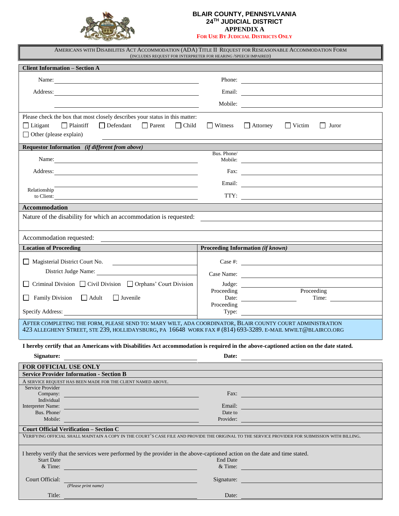

#### **BLAIR COUNTY, PENNSYLVANIA 24TH JUDICIAL DISTRICT APPENDIX A**

**FOR USE BY JUDICIAL DISTRICTS ONLY**

| AMERICANS WITH DISABILITES ACT ACCOMMODATION (ADA) TITLE II REQUEST FOR RESEASONABLE ACCOMMODATION FORM<br>(INCLUDES REQUEST FOR INTERPRETER FOR HEARING /SPEECH IMPAIRED)                                             |                                   |                                                                                                                                                                                                                                |  |  |
|------------------------------------------------------------------------------------------------------------------------------------------------------------------------------------------------------------------------|-----------------------------------|--------------------------------------------------------------------------------------------------------------------------------------------------------------------------------------------------------------------------------|--|--|
| <b>Client Information - Section A</b>                                                                                                                                                                                  |                                   |                                                                                                                                                                                                                                |  |  |
| Name:                                                                                                                                                                                                                  |                                   |                                                                                                                                                                                                                                |  |  |
|                                                                                                                                                                                                                        |                                   |                                                                                                                                                                                                                                |  |  |
|                                                                                                                                                                                                                        |                                   |                                                                                                                                                                                                                                |  |  |
| Please check the box that most closely describes your status in this matter:<br>$\Box$ Plaintiff<br>$\Box$ Defendant $\Box$ Parent<br>$\Box$ Litigant<br>  Child                                                       | $\Box$ Witness                    | $\Box$ Attorney<br>$\Box$ Victim<br>  Juror                                                                                                                                                                                    |  |  |
| $\Box$ Other (please explain)                                                                                                                                                                                          |                                   |                                                                                                                                                                                                                                |  |  |
| Requestor Information (if different from above)                                                                                                                                                                        |                                   |                                                                                                                                                                                                                                |  |  |
|                                                                                                                                                                                                                        | Bus. Phone/                       |                                                                                                                                                                                                                                |  |  |
|                                                                                                                                                                                                                        |                                   |                                                                                                                                                                                                                                |  |  |
|                                                                                                                                                                                                                        |                                   |                                                                                                                                                                                                                                |  |  |
| Relationship<br>to Client:<br><u> 1989 - Johann John Stone, markin film yn y brening yn y brening yn y brening y brening yn y brening yn y bre</u>                                                                     |                                   |                                                                                                                                                                                                                                |  |  |
| Accommodation                                                                                                                                                                                                          |                                   |                                                                                                                                                                                                                                |  |  |
| Nature of the disability for which an accommodation is requested:<br><u> 1989 - Johann Stoff, amerikansk politiker (d. 1989)</u>                                                                                       |                                   |                                                                                                                                                                                                                                |  |  |
|                                                                                                                                                                                                                        |                                   |                                                                                                                                                                                                                                |  |  |
| Accommodation requested:                                                                                                                                                                                               |                                   |                                                                                                                                                                                                                                |  |  |
| <b>Location of Proceeding</b>                                                                                                                                                                                          | Proceeding Information (if known) |                                                                                                                                                                                                                                |  |  |
| Magisterial District Court No.                                                                                                                                                                                         |                                   | $\csc \#$ :                                                                                                                                                                                                                    |  |  |
|                                                                                                                                                                                                                        |                                   | Case Name:                                                                                                                                                                                                                     |  |  |
| Criminal Division $\Box$ Civil Division $\Box$ Orphans' Court Division                                                                                                                                                 |                                   |                                                                                                                                                                                                                                |  |  |
| Family Division Adult<br>$\Box$ Juvenile<br>$\mathsf{L}$                                                                                                                                                               | Proceeding                        | Proceeding<br>Date: $\qquad \qquad$<br>Time:                                                                                                                                                                                   |  |  |
|                                                                                                                                                                                                                        | Proceeding                        |                                                                                                                                                                                                                                |  |  |
| Specify Address:                                                                                                                                                                                                       |                                   | Type:                                                                                                                                                                                                                          |  |  |
| AFTER COMPLETING THE FORM, PLEASE SEND TO: MARY WILT, ADA COORDINATOR, BLAIR COUNTY COURT ADMINISTRATION<br>423 ALLEGHENY STREET, STE 239, HOLLIDAYSBURG, PA 16648 WORK FAX # (814) 693-3289. E-MAIL MWILT@BLAIRCO.ORG |                                   |                                                                                                                                                                                                                                |  |  |
| I hereby certify that an Americans with Disabilities Act accommodation is required in the above-captioned action on the date stated.                                                                                   |                                   |                                                                                                                                                                                                                                |  |  |
| <b>Signature:</b>                                                                                                                                                                                                      | Date:                             | <u> 1989 - Jan Samuel Barbara, margaret e</u> n 1980 eta eta eskualdean eta eskualdean eta eskualdean eta eta eta eta                                                                                                          |  |  |
| <b>FOR OFFICIAL USE ONLY</b>                                                                                                                                                                                           |                                   |                                                                                                                                                                                                                                |  |  |
| <b>Service Provider Information - Section B</b><br>A SERVICE REOUEST HAS BEEN MADE FOR THE CLIENT NAMED ABOVE.                                                                                                         |                                   |                                                                                                                                                                                                                                |  |  |
| Service Provider                                                                                                                                                                                                       |                                   |                                                                                                                                                                                                                                |  |  |
| Company:<br>Individual                                                                                                                                                                                                 |                                   | Fax: Fax:                                                                                                                                                                                                                      |  |  |
| Interpreter Name:<br>Bus. Phone/                                                                                                                                                                                       | Date to                           | Email: Email: Email: Email: Email: Email: Email: Email: Email: Email: Email: Email: Email: Email: Email: Email: Email: Email: Email: Email: Email: Email: Email: Email: Email: Email: Email: Email: Email: Email: Email: Email |  |  |
| Mobile:                                                                                                                                                                                                                | Provider:                         |                                                                                                                                                                                                                                |  |  |
| Court Official Verification - Section C                                                                                                                                                                                |                                   |                                                                                                                                                                                                                                |  |  |
| VERIFYING OFFICIAL SHALL MAINTAIN A COPY IN THE COURT'S CASE FILE AND PROVIDE THE ORIGINAL TO THE SERVICE PROVIDER FOR SUBMISSION WITH BILLING.                                                                        |                                   |                                                                                                                                                                                                                                |  |  |
| I hereby verify that the services were performed by the provider in the above-captioned action on the date and time stated.                                                                                            |                                   |                                                                                                                                                                                                                                |  |  |
| <b>Start Date</b><br>& Time:                                                                                                                                                                                           | <b>End Date</b>                   | $\&$ Time:                                                                                                                                                                                                                     |  |  |
| Court Official:                                                                                                                                                                                                        |                                   | Signature: Signature:                                                                                                                                                                                                          |  |  |
| (Please print name)                                                                                                                                                                                                    |                                   |                                                                                                                                                                                                                                |  |  |
| Title:                                                                                                                                                                                                                 | Date:                             |                                                                                                                                                                                                                                |  |  |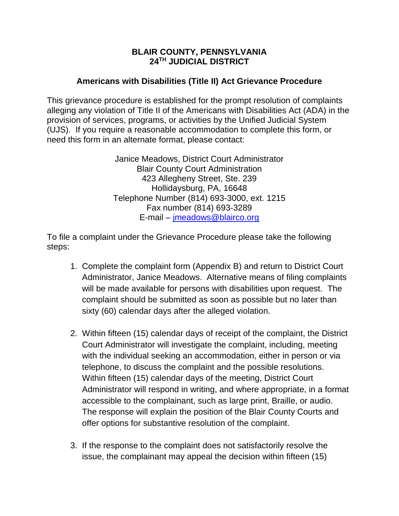## **BLAIR COUNTY, PENNSYLVANIA 24TH JUDICIAL DISTRICT**

# **Americans with Disabilities (Title II) Act Grievance Procedure**

This grievance procedure is established for the prompt resolution of complaints alleging any violation of Title II of the Americans with Disabilities Act (ADA) in the provision of services, programs, or activities by the Unified Judicial System (UJS). If you require a reasonable accommodation to complete this form, or need this form in an alternate format, please contact:

> Janice Meadows, District Court Administrator Blair County Court Administration 423 Allegheny Street, Ste. 239 Hollidaysburg, PA, 16648 Telephone Number (814) 693-3000, ext. 1215 Fax number (814) 693-3289 E-mail – [jmeadows@blairco.org](mailto:jmeadows@blairco.org)

To file a complaint under the Grievance Procedure please take the following steps:

- 1. Complete the complaint form (Appendix B) and return to District Court Administrator, Janice Meadows. Alternative means of filing complaints will be made available for persons with disabilities upon request. The complaint should be submitted as soon as possible but no later than sixty (60) calendar days after the alleged violation.
- 2. Within fifteen (15) calendar days of receipt of the complaint, the District Court Administrator will investigate the complaint, including, meeting with the individual seeking an accommodation, either in person or via telephone, to discuss the complaint and the possible resolutions. Within fifteen (15) calendar days of the meeting, District Court Administrator will respond in writing, and where appropriate, in a format accessible to the complainant, such as large print, Braille, or audio. The response will explain the position of the Blair County Courts and offer options for substantive resolution of the complaint.
- 3. If the response to the complaint does not satisfactorily resolve the issue, the complainant may appeal the decision within fifteen (15)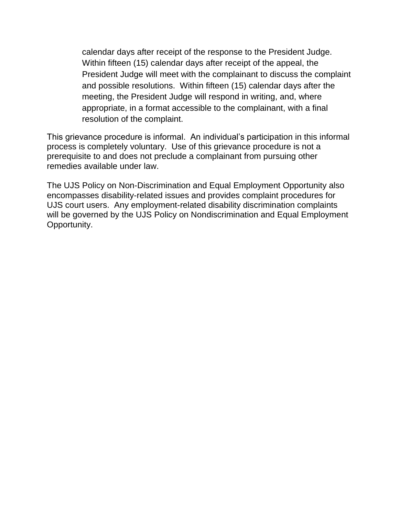calendar days after receipt of the response to the President Judge. Within fifteen (15) calendar days after receipt of the appeal, the President Judge will meet with the complainant to discuss the complaint and possible resolutions. Within fifteen (15) calendar days after the meeting, the President Judge will respond in writing, and, where appropriate, in a format accessible to the complainant, with a final resolution of the complaint.

This grievance procedure is informal. An individual's participation in this informal process is completely voluntary. Use of this grievance procedure is not a prerequisite to and does not preclude a complainant from pursuing other remedies available under law.

The UJS Policy on Non-Discrimination and Equal Employment Opportunity also encompasses disability-related issues and provides complaint procedures for UJS court users. Any employment-related disability discrimination complaints will be governed by the UJS Policy on Nondiscrimination and Equal Employment Opportunity.